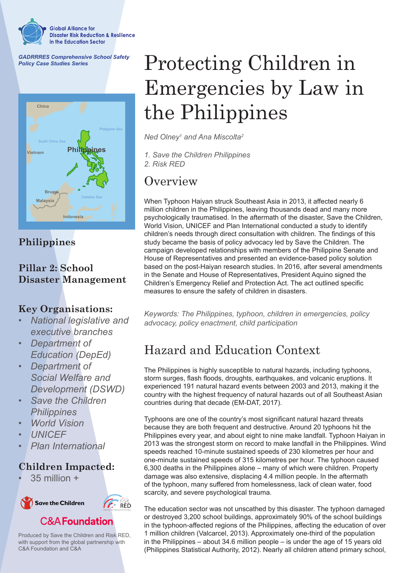

*GADRRRES Comprehensive School Safety Policy Case Studies Series*



### **Philippines**

### **Pillar 2: School Disaster Management**

### **Key Organisations:**

- *• National legislative and executive branches*
- *• Department of Education (DepEd)*
- *• Department of Social Welfare and Development (DSWD)*
- *• Save the Children Philippines*
- *• World Vision*
- *• UNICEF*
- *• Plan International*

### **Children Impacted:**

 $35$  million  $+$ 



Produced by Save the Children and Risk RED, with support from the global partnership with C&A Foundation and C&A

# Protecting Children in Emergencies by Law in the Philippines

*Ned Olney1 and Ana Miscolta2*

*1. Save the Children Philippines 2. Risk RED*

### **Overview**

When Typhoon Haiyan struck Southeast Asia in 2013, it affected nearly 6 million children in the Philippines, leaving thousands dead and many more psychologically traumatised. In the aftermath of the disaster, Save the Children, World Vision, UNICEF and Plan International conducted a study to identify children's needs through direct consultation with children. The findings of this study became the basis of policy advocacy led by Save the Children. The campaign developed relationships with members of the Philippine Senate and House of Representatives and presented an evidence-based policy solution based on the post-Haiyan research studies. In 2016, after several amendments in the Senate and House of Representatives, President Aquino signed the Children's Emergency Relief and Protection Act. The act outlined specific measures to ensure the safety of children in disasters.

*Keywords: The Philippines, typhoon, children in emergencies, policy advocacy, policy enactment, child participation*

# Hazard and Education Context

The Philippines is highly susceptible to natural hazards, including typhoons, storm surges, flash floods, droughts, earthquakes, and volcanic eruptions. It experienced 191 natural hazard events between 2003 and 2013, making it the country with the highest frequency of natural hazards out of all Southeast Asian countries during that decade (EM-DAT, 2017).

Typhoons are one of the country's most significant natural hazard threats because they are both frequent and destructive. Around 20 typhoons hit the Philippines every year, and about eight to nine make landfall. Typhoon Haiyan in 2013 was the strongest storm on record to make landfall in the Philippines. Wind speeds reached 10-minute sustained speeds of 230 kilometres per hour and one-minute sustained speeds of 315 kilometres per hour. The typhoon caused 6,300 deaths in the Philippines alone – many of which were children. Property damage was also extensive, displacing 4.4 million people. In the aftermath of the typhoon, many suffered from homelessness, lack of clean water, food scarcity, and severe psychological trauma.

The education sector was not unscathed by this disaster. The typhoon damaged or destroyed 3,200 school buildings, approximately 90% of the school buildings in the typhoon-affected regions of the Philippines, affecting the education of over 1 million children (Valcarcel, 2013). Approximately one-third of the population in the Philippines – about 34.6 million people – is under the age of 15 years old (Philippines Statistical Authority, 2012). Nearly all children attend primary school,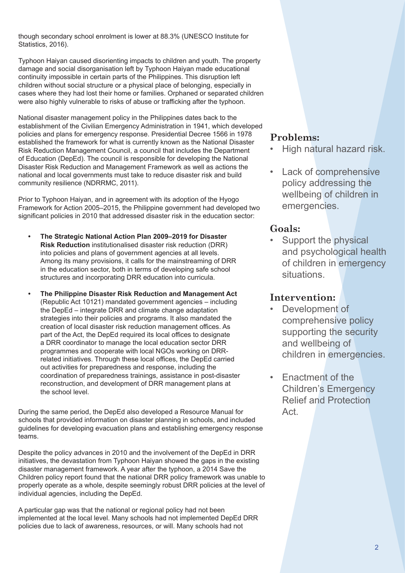though secondary school enrolment is lower at 88.3% (UNESCO Institute for Statistics, 2016).

Typhoon Haiyan caused disorienting impacts to children and youth. The property damage and social disorganisation left by Typhoon Haiyan made educational continuity impossible in certain parts of the Philippines. This disruption left children without social structure or a physical place of belonging, especially in cases where they had lost their home or families. Orphaned or separated children were also highly vulnerable to risks of abuse or trafficking after the typhoon.

National disaster management policy in the Philippines dates back to the establishment of the Civilian Emergency Administration in 1941, which developed policies and plans for emergency response. Presidential Decree 1566 in 1978 established the framework for what is currently known as the National Disaster Risk Reduction Management Council, a council that includes the Department of Education (DepEd). The council is responsible for developing the National Disaster Risk Reduction and Management Framework as well as actions the national and local governments must take to reduce disaster risk and build community resilience (NDRRMC, 2011).

Prior to Typhoon Haiyan, and in agreement with its adoption of the Hyogo Framework for Action 2005–2015, the Philippine government had developed two significant policies in 2010 that addressed disaster risk in the education sector:

- **• The Strategic National Action Plan 2009–2019 for Disaster Risk Reduction** institutionalised disaster risk reduction (DRR) into policies and plans of government agencies at all levels. Among its many provisions, it calls for the mainstreaming of DRR in the education sector, both in terms of developing safe school structures and incorporating DRR education into curricula.
- **• The Philippine Disaster Risk Reduction and Management Act** (Republic Act 10121) mandated government agencies – including the DepEd – integrate DRR and climate change adaptation strategies into their policies and programs. It also mandated the creation of local disaster risk reduction management offices. As part of the Act, the DepEd required its local offices to designate a DRR coordinator to manage the local education sector DRR programmes and cooperate with local NGOs working on DRRrelated initiatives. Through these local offices, the DepEd carried out activities for preparedness and response, including the coordination of preparedness trainings, assistance in post-disaster reconstruction, and development of DRR management plans at the school level.

During the same period, the DepEd also developed a Resource Manual for schools that provided information on disaster planning in schools, and included guidelines for developing evacuation plans and establishing emergency response teams.

Despite the policy advances in 2010 and the involvement of the DepEd in DRR initiatives, the devastation from Typhoon Haiyan showed the gaps in the existing disaster management framework. A year after the typhoon, a 2014 Save the Children policy report found that the national DRR policy framework was unable to properly operate as a whole, despite seemingly robust DRR policies at the level of individual agencies, including the DepEd.

A particular gap was that the national or regional policy had not been implemented at the local level. Many schools had not implemented DepEd DRR policies due to lack of awareness, resources, or will. Many schools had not

#### **Problems:**

- High natural hazard risk.
- Lack of comprehensive policy addressing the wellbeing of children in emergencies.

#### **Goals:**

Support the physical and psychological health of children in emergency situations.

#### **Intervention:**

- Development of comprehensive policy supporting the security and wellbeing of children in emergencies.
- Enactment of the Children's Emergency Relief and Protection Act.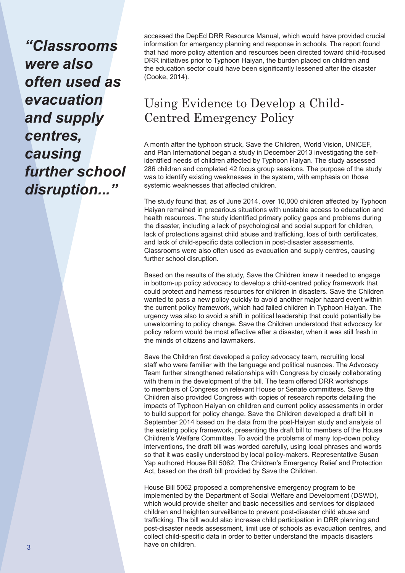*"Classrooms were also often used as evacuation and supply centres, causing further school disruption..."*

accessed the DepEd DRR Resource Manual, which would have provided crucial information for emergency planning and response in schools. The report found that had more policy attention and resources been directed toward child-focused DRR initiatives prior to Typhoon Haiyan, the burden placed on children and the education sector could have been significantly lessened after the disaster (Cooke, 2014).

# Using Evidence to Develop a Child-Centred Emergency Policy

A month after the typhoon struck, Save the Children, World Vision, UNICEF, and Plan International began a study in December 2013 investigating the selfidentified needs of children affected by Typhoon Haiyan. The study assessed 286 children and completed 42 focus group sessions. The purpose of the study was to identify existing weaknesses in the system, with emphasis on those systemic weaknesses that affected children.

The study found that, as of June 2014, over 10,000 children affected by Typhoon Haiyan remained in precarious situations with unstable access to education and health resources. The study identified primary policy gaps and problems during the disaster, including a lack of psychological and social support for children, lack of protections against child abuse and trafficking, loss of birth certificates, and lack of child-specific data collection in post-disaster assessments. Classrooms were also often used as evacuation and supply centres, causing further school disruption.

Based on the results of the study, Save the Children knew it needed to engage in bottom-up policy advocacy to develop a child-centred policy framework that could protect and harness resources for children in disasters. Save the Children wanted to pass a new policy quickly to avoid another major hazard event within the current policy framework, which had failed children in Typhoon Haiyan. The urgency was also to avoid a shift in political leadership that could potentially be unwelcoming to policy change. Save the Children understood that advocacy for policy reform would be most effective after a disaster, when it was still fresh in the minds of citizens and lawmakers.

Save the Children first developed a policy advocacy team, recruiting local staff who were familiar with the language and political nuances. The Advocacy Team further strengthened relationships with Congress by closely collaborating with them in the development of the bill. The team offered DRR workshops to members of Congress on relevant House or Senate committees. Save the Children also provided Congress with copies of research reports detailing the impacts of Typhoon Haiyan on children and current policy assessments in order to build support for policy change. Save the Children developed a draft bill in September 2014 based on the data from the post-Haiyan study and analysis of the existing policy framework, presenting the draft bill to members of the House Children's Welfare Committee. To avoid the problems of many top-down policy interventions, the draft bill was worded carefully, using local phrases and words so that it was easily understood by local policy-makers. Representative Susan Yap authored House Bill 5062, The Children's Emergency Relief and Protection Act, based on the draft bill provided by Save the Children.

House Bill 5062 proposed a comprehensive emergency program to be implemented by the Department of Social Welfare and Development (DSWD), which would provide shelter and basic necessities and services for displaced children and heighten surveillance to prevent post-disaster child abuse and trafficking. The bill would also increase child participation in DRR planning and post-disaster needs assessment, limit use of schools as evacuation centres, and collect child-specific data in order to better understand the impacts disasters **have on children. have on children.**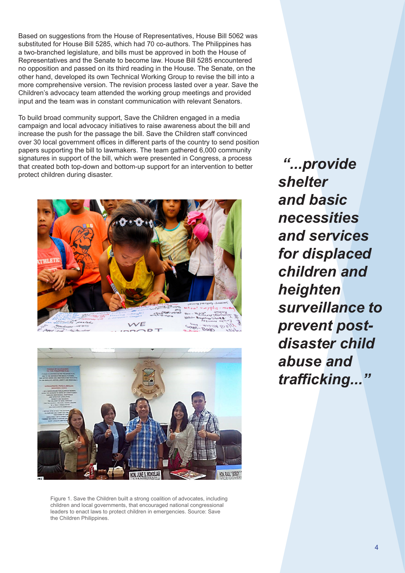Based on suggestions from the House of Representatives, House Bill 5062 was substituted for House Bill 5285, which had 70 co-authors. The Philippines has a two-branched legislature, and bills must be approved in both the House of Representatives and the Senate to become law. House Bill 5285 encountered no opposition and passed on its third reading in the House. The Senate, on the other hand, developed its own Technical Working Group to revise the bill into a more comprehensive version. The revision process lasted over a year. Save the Children's advocacy team attended the working group meetings and provided input and the team was in constant communication with relevant Senators.

To build broad community support, Save the Children engaged in a media campaign and local advocacy initiatives to raise awareness about the bill and increase the push for the passage the bill. Save the Children staff convinced over 30 local government offices in different parts of the country to send position papers supporting the bill to lawmakers. The team gathered 6,000 community signatures in support of the bill, which were presented in Congress, a process that created both top-down and bottom-up support for an intervention to better protect children during disaster.





Figure 1. Save the Children built a strong coalition of advocates, including children and local governments, that encouraged national congressional leaders to enact laws to protect children in emergencies. Source: Save the Children Philippines.

 *"...provide shelter and basic necessities and services for displaced children and heighten surveillance to prevent postdisaster child abuse and trafficking..."*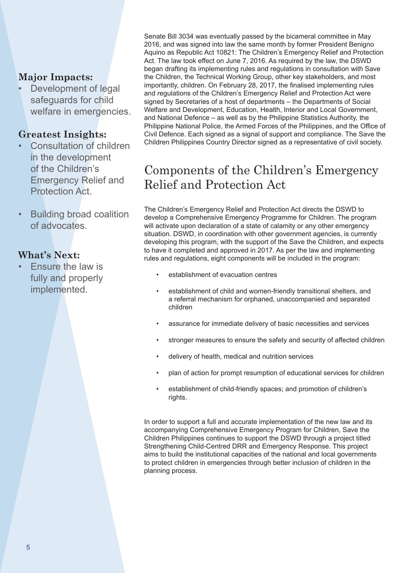#### **Major Impacts:**

Development of legal safeguards for child welfare in emergencies.

#### **Greatest Insights:**

- Consultation of children in the development of the Children's Emergency Relief and Protection Act.
- Building broad coalition of advocates.

#### **What's Next:**

• Ensure the law is fully and properly implemented.

Senate Bill 3034 was eventually passed by the bicameral committee in May 2016, and was signed into law the same month by former President Benigno Aquino as Republic Act 10821: The Children's Emergency Relief and Protection Act. The law took effect on June 7, 2016. As required by the law, the DSWD began drafting its implementing rules and regulations in consultation with Save the Children, the Technical Working Group, other key stakeholders, and most importantly, children. On February 28, 2017, the finalised implementing rules and regulations of the Children's Emergency Relief and Protection Act were signed by Secretaries of a host of departments – the Departments of Social Welfare and Development, Education, Health, Interior and Local Government, and National Defence – as well as by the Philippine Statistics Authority, the Philippine National Police, the Armed Forces of the Philippines, and the Office of Civil Defence. Each signed as a signal of support and compliance. The Save the Children Philippines Country Director signed as a representative of civil society.

# Components of the Children's Emergency Relief and Protection Act

The Children's Emergency Relief and Protection Act directs the DSWD to develop a Comprehensive Emergency Programme for Children. The program will activate upon declaration of a state of calamity or any other emergency situation. DSWD, in coordination with other government agencies, is currently developing this program, with the support of the Save the Children, and expects to have it completed and approved in 2017. As per the law and implementing rules and regulations, eight components will be included in the program:

- establishment of evacuation centres
- establishment of child and women-friendly transitional shelters, and a referral mechanism for orphaned, unaccompanied and separated children
- assurance for immediate delivery of basic necessities and services
- stronger measures to ensure the safety and security of affected children
- delivery of health, medical and nutrition services
- plan of action for prompt resumption of educational services for children
- establishment of child-friendly spaces; and promotion of children's rights.

In order to support a full and accurate implementation of the new law and its accompanying Comprehensive Emergency Program for Children, Save the Children Philippines continues to support the DSWD through a project titled Strengthening Child-Centred DRR and Emergency Response. This project aims to build the institutional capacities of the national and local governments to protect children in emergencies through better inclusion of children in the planning process.